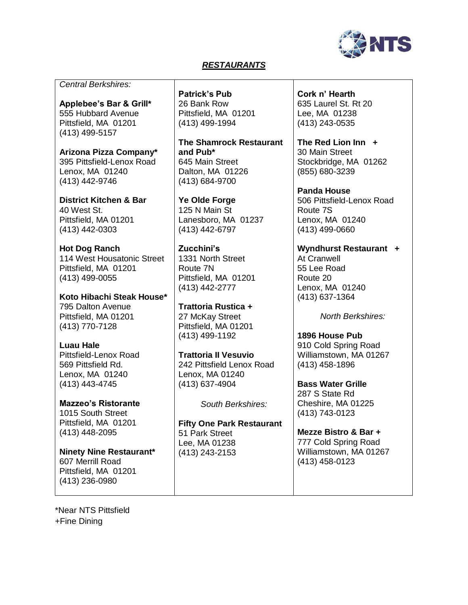

#### *RESTAURANTS*

*Central Berkshires:*

**Applebee's Bar & Grill\*** 555 Hubbard Avenue Pittsfield, MA 01201 (413) 499-5157

**Arizona Pizza Company\*** 395 Pittsfield-Lenox Road Lenox, MA 01240 (413) 442-9746

**District Kitchen & Bar** 40 West St. Pittsfield, MA 01201 (413) 442-0303

**Hot Dog Ranch** 114 West Housatonic Street Pittsfield, MA 01201 (413) 499-0055

**Koto Hibachi Steak House\*** 795 Dalton Avenue Pittsfield, MA 01201 (413) 770-7128

**Luau Hale** Pittsfield-Lenox Road 569 Pittsfield Rd. Lenox, MA 01240 (413) 443-4745

**Mazzeo's Ristorante** 1015 South Street Pittsfield, MA 01201 (413) 448-2095

**Ninety Nine Restaurant\***  607 Merrill Road Pittsfield, MA 01201 (413) 236-0980

**Patrick's Pub** 26 Bank Row Pittsfield, MA 01201 (413) 499-1994

**The Shamrock Restaurant and Pub\***  645 Main Street Dalton, MA 01226 (413) 684-9700

**Ye Olde Forge** 125 N Main St Lanesboro, MA 01237 (413) 442-6797

**Zucchini's** 1331 North Street Route 7N Pittsfield, MA 01201 (413) 442-2777

**Trattoria Rustica +**  27 McKay Street Pittsfield, MA 01201 (413) 499-1192

**Trattoria II Vesuvio** 242 Pittsfield Lenox Road Lenox, MA 01240 (413) 637-4904

*South Berkshires:*

**Fifty One Park Restaurant** 51 Park Street Lee, MA 01238 (413) 243-2153

**Cork n' Hearth** 635 Laurel St. Rt 20 Lee, MA 01238 (413) 243-0535

**The Red Lion Inn +** 30 Main Street Stockbridge, MA 01262 (855) 680-3239

**Panda House** 506 Pittsfield-Lenox Road Route 7S Lenox, MA 01240 (413) 499-0660

**Wyndhurst Restaurant +** At Cranwell 55 Lee Road Route 20 Lenox, MA 01240 (413) 637-1364

*North Berkshires:*

**1896 House Pub** 910 Cold Spring Road Williamstown, MA 01267 (413) 458-1896

**Bass Water Grille** 287 S State Rd Cheshire, MA 01225 (413) 743-0123

**Mezze Bistro & Bar +** 777 Cold Spring Road Williamstown, MA 01267 (413) 458-0123

\*Near NTS Pittsfield +Fine Dining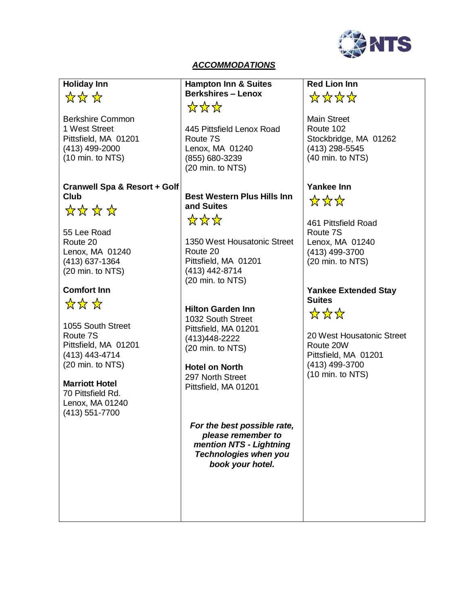

### *ACCOMMODATIONS*

# **Holiday Inn**

# \*\*\*\*

Berkshire Common 1 West Street Pittsfield, MA 01201 (413) 499-2000 (10 min. to NTS)

### **Cranwell Spa & Resort + Golf Club**



55 Lee Road Route 20 Lenox, MA 01240 (413) 637-1364 (20 min. to NTS)

## **Comfort Inn**

\*\*\*\*

1055 South Street Route 7S Pittsfield, MA 01201 (413) 443-4714 (20 min. to NTS)

#### **Marriott Hotel**

70 Pittsfield Rd. Lenox, MA 01240 (413) 551-7700

**Hampton Inn & Suites Berkshires – Lenox** \*\*\*

445 Pittsfield Lenox Road Route 7S Lenox, MA 01240 (855) 680-3239 (20 min. to NTS)

**Best Western Plus Hills Inn and Suites** \*\*\*\*

1350 West Housatonic Street Route 20 Pittsfield, MA 01201 (413) 442-8714 (20 min. to NTS)

**Hilton Garden Inn** 1032 South Street Pittsfield, MA 01201 (413)448-2222 (20 min. to NTS)

**Hotel on North** 297 North Street Pittsfield, MA 01201

*For the best possible rate, please remember to mention NTS - Lightning Technologies when you book your hotel.*

## **Red Lion Inn** \*\*\*\*\*

Main Street Route 102 Stockbridge, MA 01262 (413) 298-5545 (40 min. to NTS)

## **Yankee Inn**

☆☆☆

461 Pittsfield Road Route 7S Lenox, MA 01240 (413) 499-3700 (20 min. to NTS)

#### **Yankee Extended Stay Suites**

 $\frac{1}{\sqrt{2}}$   $\frac{1}{\sqrt{2}}$   $\frac{1}{\sqrt{2}}$ 

20 West Housatonic Street Route 20W Pittsfield, MA 01201 (413) 499-3700 (10 min. to NTS)